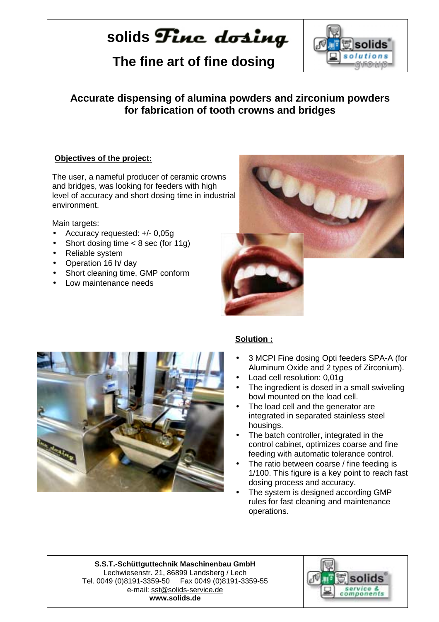# solids **Finc** dosing

 **The fine art of fine dosing** 



## **Accurate dispensing of alumina powders and zirconium powders for fabrication of tooth crowns and bridges**

### **Objectives of the project:**

The user, a nameful producer of ceramic crowns and bridges, was looking for feeders with high level of accuracy and short dosing time in industrial environment.

Main targets:

- Accuracy requested: +/- 0,05g
- Short dosing time  $<$  8 sec (for 11g)
- Reliable system
- Operation 16 h/ day
- Short cleaning time, GMP conform
- Low maintenance needs





### **Solution :**

- 3 MCPI Fine dosing Opti feeders SPA-A (for Aluminum Oxide and 2 types of Zirconium).
- Load cell resolution: 0,01g
- The ingredient is dosed in a small swiveling bowl mounted on the load cell.
- The load cell and the generator are integrated in separated stainless steel housings.
- The batch controller, integrated in the control cabinet, optimizes coarse and fine feeding with automatic tolerance control.
- The ratio between coarse / fine feeding is 1/100. This figure is a key point to reach fast dosing process and accuracy.
- The system is designed according GMP rules for fast cleaning and maintenance operations.

**S.S.T.-Schüttguttechnik Maschinenbau GmbH** Lechwiesenstr. 21, 86899 Landsberg / Lech Tel. 0049 (0)8191-3359-50 Fax 0049 (0)8191-3359-55 e-mail: sst@solids-service.de **www.solids.de**